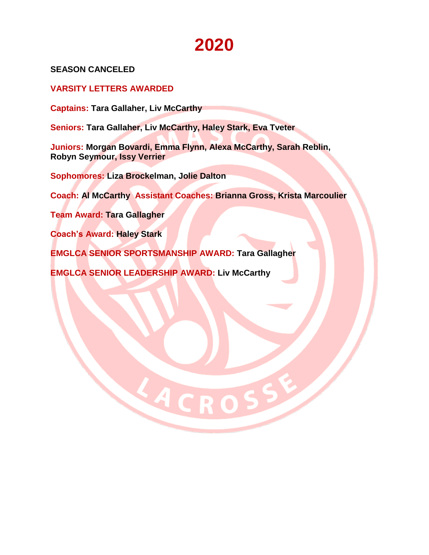**SEASON CANCELED**

**VARSITY LETTERS AWARDED** 

**Captains: Tara Gallaher, Liv McCarthy**

**Seniors: Tara Gallaher, Liv McCarthy, Haley Stark, Eva Tveter** 

**Juniors: Morgan Bovardi, Emma Flynn, Alexa McCarthy, Sarah Reblin, Robyn Seymour, Issy Verrier**

**Sophomores: Liza Brockelman, Jolie Dalton**

**Coach: Al McCarthy Assistant Coaches: Brianna Gross, Krista Marcoulier**

LACROS

**Team Award: Tara Gallagher**

**Coach's Award: Haley Stark** 

**EMGLCA SENIOR SPORTSMANSHIP AWARD: Tara Gallagher**

**EMGLCA SENIOR LEADERSHIP AWARD: Liv McCarthy**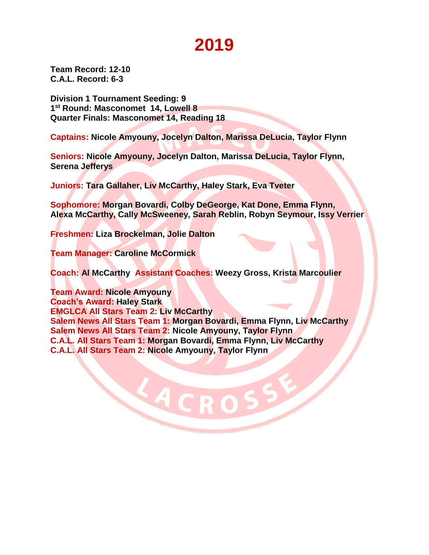**Team Record: 12-10 C.A.L. Record: 6-3**

**Division 1 Tournament Seeding: 9 1 st Round: Masconomet 14, Lowell 8 Quarter Finals: Masconomet 14, Reading 18**

**Captains: Nicole Amyouny, Jocelyn Dalton, Marissa DeLucia, Taylor Flynn** 

**Seniors: Nicole Amyouny, Jocelyn Dalton, Marissa DeLucia, Taylor Flynn, Serena Jefferys**

**Juniors: Tara Gallaher, Liv McCarthy, Haley Stark, Eva Tveter** 

**Sophomore: Morgan Bovardi, Colby DeGeorge, Kat Done, Emma Flynn, Alexa McCarthy, Cally McSweeney, Sarah Reblin, Robyn Seymour, Issy Verrier**

**Freshmen: Liza Brockelman, Jolie Dalton**

**Team Manager: Caroline McCormick**

**Coach: Al McCarthy Assistant Coaches: Weezy Gross, Krista Marcoulier**

**Team Award: Nicole Amyouny Coach's Award: Haley Stark EMGLCA All Stars Team 2: Liv McCarthy Salem News All Stars Team 1: Morgan Bovardi, Emma Flynn, Liv McCarthy Salem News All Stars Team 2: Nicole Amyouny, Taylor Flynn C.A.L. All Stars Team 1: Morgan Bovardi, Emma Flynn, Liv McCarthy C.A.L. All Stars Team 2: Nicole Amyouny, Taylor Flynn**

LACRO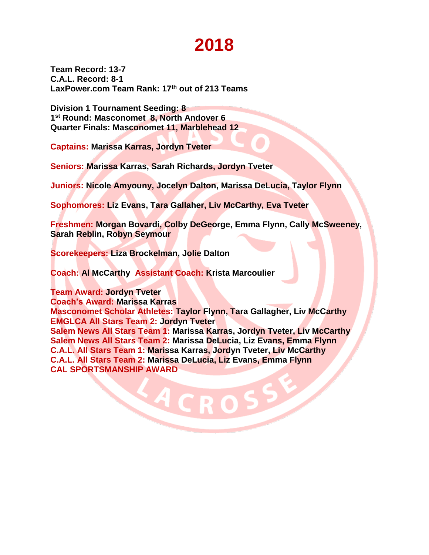**Team Record: 13-7 C.A.L. Record: 8-1 LaxPower.com Team Rank: 17 th out of 213 Teams** 

**Division 1 Tournament Seeding: 8 1 st Round: Masconomet 8, North Andover 6 Quarter Finals: Masconomet 11, Marblehead 12**

**Captains: Marissa Karras, Jordyn Tveter**

**Seniors: Marissa Karras, Sarah Richards, Jordyn Tveter**

**Juniors: Nicole Amyouny, Jocelyn Dalton, Marissa DeLucia, Taylor Flynn**

**Sophomores: Liz Evans, Tara Gallaher, Liv McCarthy, Eva Tveter** 

**Freshmen: Morgan Bovardi, Colby DeGeorge, Emma Flynn, Cally McSweeney, Sarah Reblin, Robyn Seymour**

**Scorekeepers: Liza Brockelman, Jolie Dalton**

**Coach: Al McCarthy Assistant Coach: Krista Marcoulier**

**Team Award: Jordyn Tveter**

**Coach's Award: Marissa Karras**

**Masconomet Scholar Athletes: Taylor Flynn, Tara Gallagher, Liv McCarthy EMGLCA All Stars Team 2: Jordyn Tveter**

**Salem News All Stars Team 1: Marissa Karras, Jordyn Tveter, Liv McCarthy Salem News All Stars Team 2: Marissa DeLucia, Liz Evans, Emma Flynn C.A.L. All Stars Team 1: Marissa Karras, Jordyn Tveter, Liv McCarthy C.A.L. All Stars Team 2: Marissa DeLucia, Liz Evans, Emma Flynn CAL SPORTSMANSHIP AWARD**

 $\blacksquare$  R  $\blacksquare$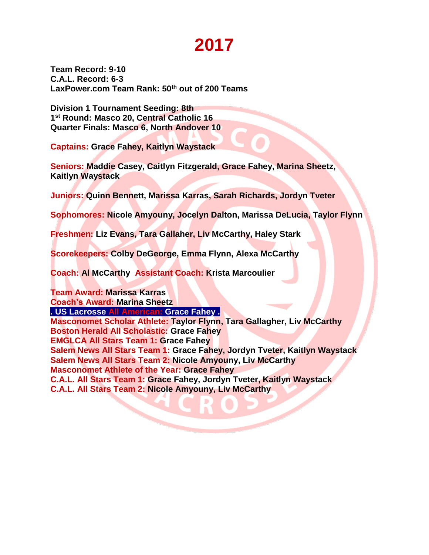**Team Record: 9-10 C.A.L. Record: 6-3 LaxPower.com Team Rank: 50th out of 200 Teams** 

**Division 1 Tournament Seeding: 8th 1 st Round: Masco 20, Central Catholic 16 Quarter Finals: Masco 6, North Andover 10**

**Captains: Grace Fahey, Kaitlyn Waystack**

**Seniors: Maddie Casey, Caitlyn Fitzgerald, Grace Fahey, Marina Sheetz, Kaitlyn Waystack**

**Juniors: Quinn Bennett, Marissa Karras, Sarah Richards, Jordyn Tveter**

**Sophomores: Nicole Amyouny, Jocelyn Dalton, Marissa DeLucia, Taylor Flynn**

**Freshmen: Liz Evans, Tara Gallaher, Liv McCarthy, Haley Stark**

**Scorekeepers: Colby DeGeorge, Emma Flynn, Alexa McCarthy**

**Coach: Al McCarthy Assistant Coach: Krista Marcoulier**

**Team Award: Marissa Karras Coach's Award: Marina Sheetz**

**. US Lacrosse All American: Grace Fahey .**

**Masconomet Scholar Athlete: Taylor Flynn, Tara Gallagher, Liv McCarthy Boston Herald All Scholastic: Grace Fahey EMGLCA All Stars Team 1: Grace Fahey Salem News All Stars Team 1: Grace Fahey, Jordyn Tveter, Kaitlyn Waystack Salem News All Stars Team 2: Nicole Amyouny, Liv McCarthy Masconomet Athlete of the Year: Grace Fahey C.A.L. All Stars Team 1: Grace Fahey, Jordyn Tveter, Kaitlyn Waystack C.A.L. All Stars Team 2: Nicole Amyouny, Liv McCarthy**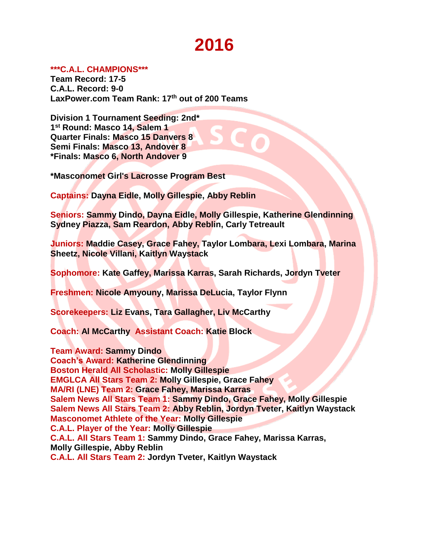### **\*\*\*C.A.L. CHAMPIONS\*\*\***

**Team Record: 17-5 C.A.L. Record: 9-0 LaxPower.com Team Rank: 17 th out of 200 Teams** 

**Division 1 Tournament Seeding: 2nd\* 1 st Round: Masco 14, Salem 1 Quarter Finals: Masco 15 Danvers 8 Semi Finals: Masco 13, Andover 8 \*Finals: Masco 6, North Andover 9**

**\*Masconomet Girl's Lacrosse Program Best**

**Captains: Dayna Eidle, Molly Gillespie, Abby Reblin**

**Seniors: Sammy Dindo, Dayna Eidle, Molly Gillespie, Katherine Glendinning Sydney Piazza, Sam Reardon, Abby Reblin, Carly Tetreault**

**Juniors: Maddie Casey, Grace Fahey, Taylor Lombara, Lexi Lombara, Marina Sheetz, Nicole Villani, Kaitlyn Waystack**

**Sophomore: Kate Gaffey, Marissa Karras, Sarah Richards, Jordyn Tveter**

**Freshmen: Nicole Amyouny, Marissa DeLucia, Taylor Flynn**

**Scorekeepers: Liz Evans, Tara Gallagher, Liv McCarthy**

**Coach: Al McCarthy Assistant Coach: Katie Block**

**Team Award: Sammy Dindo Coach's Award: Katherine Glendinning Boston Herald All Scholastic: Molly Gillespie EMGLCA All Stars Team 2: Molly Gillespie, Grace Fahey MA/RI (LNE) Team 2: Grace Fahey, Marissa Karras Salem News All Stars Team 1: Sammy Dindo, Grace Fahey, Molly Gillespie Salem News All Stars Team 2: Abby Reblin, Jordyn Tveter, Kaitlyn Waystack Masconomet Athlete of the Year: Molly Gillespie C.A.L. Player of the Year: Molly Gillespie C.A.L. All Stars Team 1: Sammy Dindo, Grace Fahey, Marissa Karras, Molly Gillespie, Abby Reblin C.A.L. All Stars Team 2: Jordyn Tveter, Kaitlyn Waystack**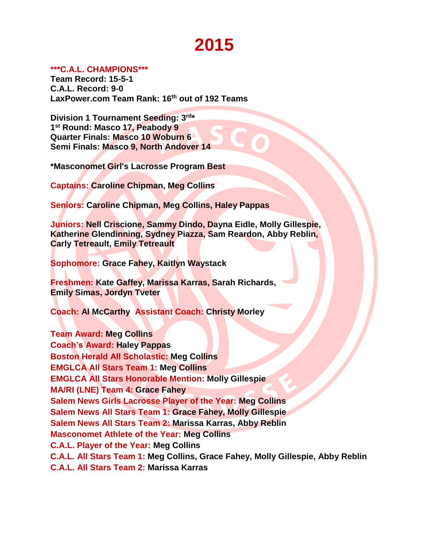### **\*\*\*C.A.L. CHAMPIONS\*\*\***

**Team Record: 15-5-1 C.A.L. Record: 9-0 LaxPower.com Team Rank: 16 th out of 192 Teams** 

Division 1 Tournament Seeding: 3rd\* **1 st Round: Masco 17, Peabody 9 Quarter Finals: Masco 10 Woburn 6 Semi Finals: Masco 9, North Andover 14**

**\*Masconomet Girl's Lacrosse Program Best**

**Captains: Caroline Chipman, Meg Collins**

**Seniors: Caroline Chipman, Meg Collins, Haley Pappas**

**Juniors: Nell Criscione, Sammy Dindo, Dayna Eidle, Molly Gillespie, Katherine Glendinning, Sydney Piazza, Sam Reardon, Abby Reblin, Carly Tetreault, Emily Tetreault**

**Sophomore: Grace Fahey, Kaitlyn Waystack**

**Freshmen: Kate Gaffey, Marissa Karras, Sarah Richards, Emily Simas, Jordyn Tveter**

**Coach: Al McCarthy Assistant Coach: Christy Morley**

**Team Award: Meg Collins Coach's Award: Haley Pappas Boston Herald All Scholastic: Meg Collins EMGLCA All Stars Team 1: Meg Collins EMGLCA All Stars Honorable Mention: Molly Gillespie MA/RI (LNE) Team 4: Grace Fahey Salem News Girls Lacrosse Player of the Year: Meg Collins Salem News All Stars Team 1: Grace Fahey, Molly Gillespie Salem News All Stars Team 2: Marissa Karras, Abby Reblin Masconomet Athlete of the Year: Meg Collins C.A.L. Player of the Year: Meg Collins C.A.L. All Stars Team 1: Meg Collins, Grace Fahey, Molly Gillespie, Abby Reblin C.A.L. All Stars Team 2: Marissa Karras**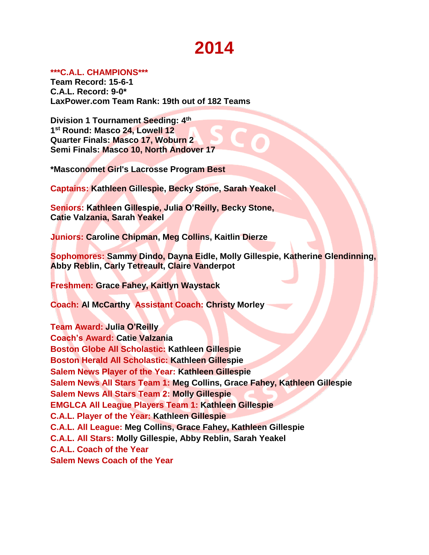### **\*\*\*C.A.L. CHAMPIONS\*\*\***

**Team Record: 15-6-1 C.A.L. Record: 9-0\* LaxPower.com Team Rank: 19th out of 182 Teams** 

**Division 1 Tournament Seeding: 4th 1 st Round: Masco 24, Lowell 12 Quarter Finals: Masco 17, Woburn 2 Semi Finals: Masco 10, North Andover 17**

**\*Masconomet Girl's Lacrosse Program Best**

**Captains: Kathleen Gillespie, Becky Stone, Sarah Yeakel**

**Seniors: Kathleen Gillespie, Julia O'Reilly, Becky Stone, Catie Valzania, Sarah Yeakel**

**Juniors: Caroline Chipman, Meg Collins, Kaitlin Dierze**

**Sophomores: Sammy Dindo, Dayna Eidle, Molly Gillespie, Katherine Glendinning, Abby Reblin, Carly Tetreault, Claire Vanderpot**

**Freshmen: Grace Fahey, Kaitlyn Waystack**

**Coach: Al McCarthy Assistant Coach: Christy Morley**

**Team Award: Julia O'Reilly Coach's Award: Catie Valzania Boston Globe All Scholastic: Kathleen Gillespie Boston Herald All Scholastic: Kathleen Gillespie Salem News Player of the Year: Kathleen Gillespie Salem News All Stars Team 1: Meg Collins, Grace Fahey, Kathleen Gillespie Salem News All Stars Team 2: Molly Gillespie EMGLCA All League Players Team 1: Kathleen Gillespie C.A.L. Player of the Year: Kathleen Gillespie C.A.L. All League: Meg Collins, Grace Fahey, Kathleen Gillespie C.A.L. All Stars: Molly Gillespie, Abby Reblin, Sarah Yeakel C.A.L. Coach of the Year Salem News Coach of the Year**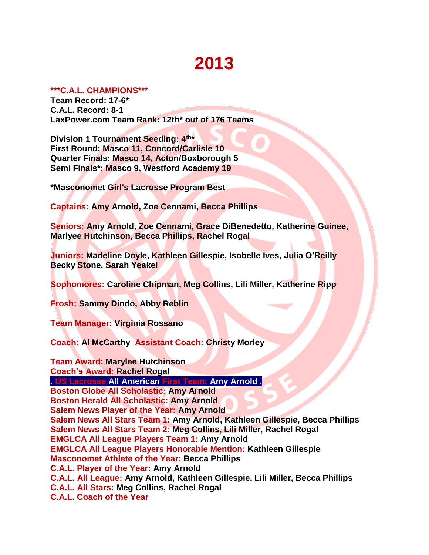### **\*\*\*C.A.L. CHAMPIONS\*\*\***

**Team Record: 17-6\* C.A.L. Record: 8-1 LaxPower.com Team Rank: 12th\* out of 176 Teams** 

Division 1 Tournament Seeding: 4<sup>th\*</sup> **First Round: Masco 11, Concord/Carlisle 10 Quarter Finals: Masco 14, Acton/Boxborough 5 Semi Finals\*: Masco 9, Westford Academy 19**

**\*Masconomet Girl's Lacrosse Program Best**

**Captains: Amy Arnold, Zoe Cennami, Becca Phillips**

**Seniors: Amy Arnold, Zoe Cennami, Grace DiBenedetto, Katherine Guinee, Marlyee Hutchinson, Becca Phillips, Rachel Rogal**

**Juniors: Madeline Doyle, Kathleen Gillespie, Isobelle Ives, Julia O'Reilly Becky Stone, Sarah Yeakel**

**Sophomores: Caroline Chipman, Meg Collins, Lili Miller, Katherine Ripp**

**Frosh: Sammy Dindo, Abby Reblin**

**Team Manager: Virginia Rossano**

**Coach: Al McCarthy Assistant Coach: Christy Morley**

**Team Award: Marylee Hutchinson Coach's Award: Rachel Rogal**

**. US Lacrosse All American First Team: Amy Arnold .**

**Boston Globe All Scholastic: Amy Arnold Boston Herald All Scholastic: Amy Arnold**

**Salem News Player of the Year: Amy Arnold**

**Salem News All Stars Team 1: Amy Arnold, Kathleen Gillespie, Becca Phillips Salem News All Stars Team 2: Meg Collins, Lili Miller, Rachel Rogal EMGLCA All League Players Team 1: Amy Arnold**

**EMGLCA All League Players Honorable Mention: Kathleen Gillespie**

**Masconomet Athlete of the Year: Becca Phillips**

**C.A.L. Player of the Year: Amy Arnold**

**C.A.L. All League: Amy Arnold, Kathleen Gillespie, Lili Miller, Becca Phillips**

**C.A.L. All Stars: Meg Collins, Rachel Rogal**

**C.A.L. Coach of the Year**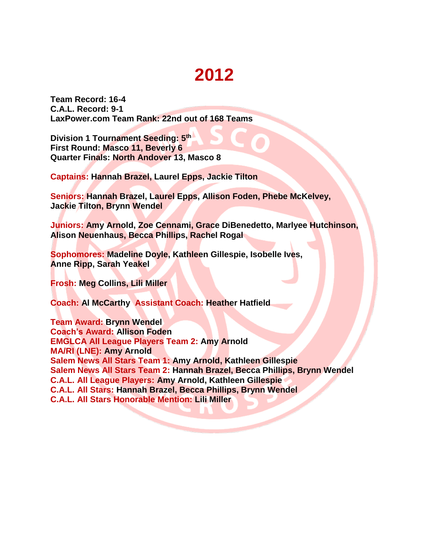**Team Record: 16-4 C.A.L. Record: 9-1 LaxPower.com Team Rank: 22nd out of 168 Teams** 

**Division 1 Tournament Seeding: 5th First Round: Masco 11, Beverly 6 Quarter Finals: North Andover 13, Masco 8**

**Captains: Hannah Brazel, Laurel Epps, Jackie Tilton**

**Seniors: Hannah Brazel, Laurel Epps, Allison Foden, Phebe McKelvey, Jackie Tilton, Brynn Wendel**

**Juniors: Amy Arnold, Zoe Cennami, Grace DiBenedetto, Marlyee Hutchinson, Alison Neuenhaus, Becca Phillips, Rachel Rogal**

**Sophomores: Madeline Doyle, Kathleen Gillespie, Isobelle Ives, Anne Ripp, Sarah Yeakel**

**Frosh: Meg Collins, Lili Miller**

**Coach: Al McCarthy Assistant Coach: Heather Hatfield**

**Team Award: Brynn Wendel Coach's Award: Allison Foden EMGLCA All League Players Team 2: Amy Arnold MA/RI (LNE): Amy Arnold Salem News All Stars Team 1: Amy Arnold, Kathleen Gillespie Salem News All Stars Team 2: Hannah Brazel, Becca Phillips, Brynn Wendel C.A.L. All League Players: Amy Arnold, Kathleen Gillespie C.A.L. All Stars: Hannah Brazel, Becca Phillips, Brynn Wendel C.A.L. All Stars Honorable Mention: Lili Miller**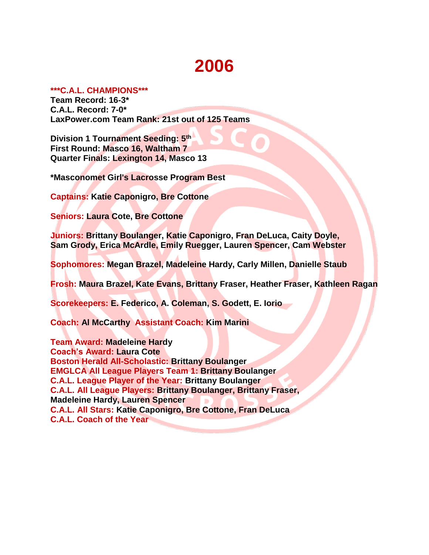### **\*\*\*C.A.L. CHAMPIONS\*\*\***

**Team Record: 16-3\* C.A.L. Record: 7-0\* LaxPower.com Team Rank: 21st out of 125 Teams** 

**Division 1 Tournament Seeding: 5th First Round: Masco 16, Waltham 7 Quarter Finals: Lexington 14, Masco 13**

**\*Masconomet Girl's Lacrosse Program Best** 

**Captains: Katie Caponigro, Bre Cottone**

**Seniors: Laura Cote, Bre Cottone**

**Juniors: Brittany Boulanger, Katie Caponigro, Fran DeLuca, Caity Doyle, Sam Grody, Erica McArdle, Emily Ruegger, Lauren Spencer, Cam Webster**

**Sophomores: Megan Brazel, Madeleine Hardy, Carly Millen, Danielle Staub**

**Frosh: Maura Brazel, Kate Evans, Brittany Fraser, Heather Fraser, Kathleen Ragan**

**Scorekeepers: E. Federico, A. Coleman, S. Godett, E. Iorio**

**Coach: Al McCarthy Assistant Coach: Kim Marini**

**Team Award: Madeleine Hardy Coach's Award: Laura Cote Boston Herald All-Scholastic: Brittany Boulanger EMGLCA All League Players Team 1: Brittany Boulanger C.A.L. League Player of the Year: Brittany Boulanger C.A.L. All League Players: Brittany Boulanger, Brittany Fraser, Madeleine Hardy, Lauren Spencer C.A.L. All Stars: Katie Caponigro, Bre Cottone, Fran DeLuca C.A.L. Coach of the Year**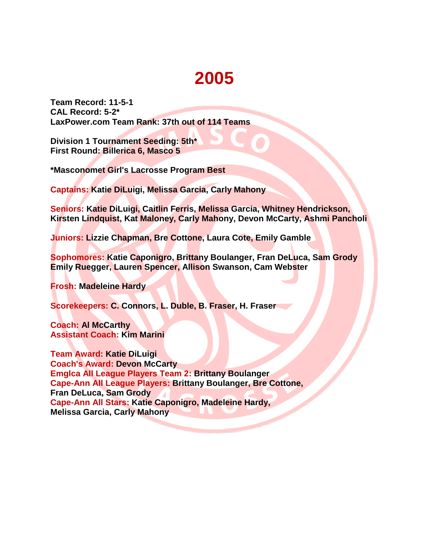**Team Record: 11-5-1 CAL Record: 5-2\* LaxPower.com Team Rank: 37th out of 114 Teams** 

**Division 1 Tournament Seeding: 5th\* First Round: Billerica 6, Masco 5**

**\*Masconomet Girl's Lacrosse Program Best** 

**Captains: Katie DiLuigi, Melissa Garcia, Carly Mahony**

**Seniors: Katie DiLuigi, Caitlin Ferris, Melissa Garcia, Whitney Hendrickson, Kirsten Lindquist, Kat Maloney, Carly Mahony, Devon McCarty, Ashmi Pancholi**

**Juniors: Lizzie Chapman, Bre Cottone, Laura Cote, Emily Gamble**

**Sophomores: Katie Caponigro, Brittany Boulanger, Fran DeLuca, Sam Grody Emily Ruegger, Lauren Spencer, Allison Swanson, Cam Webster**

**Frosh: Madeleine Hardy**

**Scorekeepers: C. Connors, L. Duble, B. Fraser, H. Fraser**

**Coach: Al McCarthy Assistant Coach: Kim Marini**

**Team Award: Katie DiLuigi Coach's Award: Devon McCarty Emglca All League Players Team 2: Brittany Boulanger Cape-Ann All League Players: Brittany Boulanger, Bre Cottone, Fran DeLuca, Sam Grody Cape-Ann All Stars: Katie Caponigro, Madeleine Hardy, Melissa Garcia, Carly Mahony**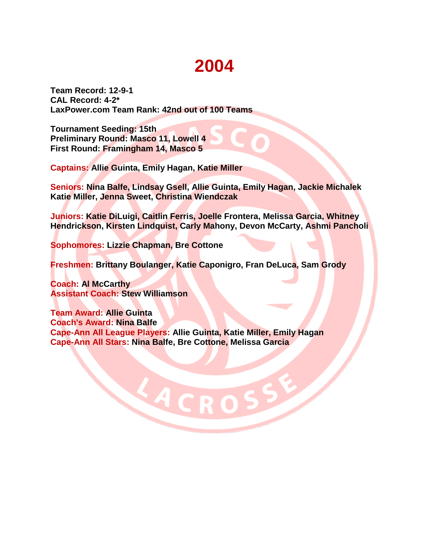**Team Record: 12-9-1 CAL Record: 4-2\* LaxPower.com Team Rank: 42nd out of 100 Teams** 

**Tournament Seeding: 15th Preliminary Round: Masco 11, Lowell 4 First Round: Framingham 14, Masco 5**

**Captains: Allie Guinta, Emily Hagan, Katie Miller**

**Seniors: Nina Balfe, Lindsay Gsell, Allie Guinta, Emily Hagan, Jackie Michalek Katie Miller, Jenna Sweet, Christina Wiendczak**

**Juniors: Katie DiLuigi, Caitlin Ferris, Joelle Frontera, Melissa Garcia, Whitney Hendrickson, Kirsten Lindquist, Carly Mahony, Devon McCarty, Ashmi Pancholi**

**Sophomores: Lizzie Chapman, Bre Cottone**

**Freshmen: Brittany Boulanger, Katie Caponigro, Fran DeLuca, Sam Grody**

**Coach: Al McCarthy Assistant Coach: Stew Williamson**

**Team Award: Allie Guinta Coach's Award: Nina Balfe Cape-Ann All League Players: Allie Guinta, Katie Miller, Emily Hagan Cape-Ann All Stars: Nina Balfe, Bre Cottone, Melissa Garcia**

LACRO